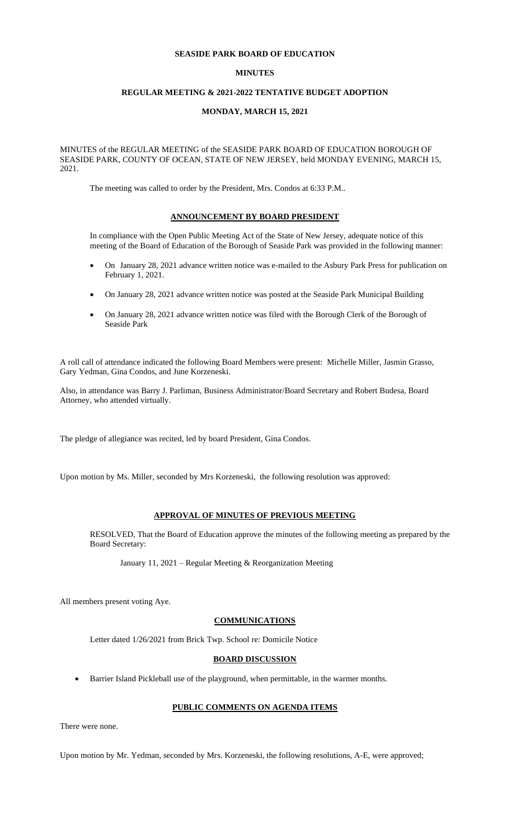### **SEASIDE PARK BOARD OF EDUCATION**

## **MINUTES**

## **REGULAR MEETING & 2021-2022 TENTATIVE BUDGET ADOPTION**

#### **MONDAY, MARCH 15, 2021**

MINUTES of the REGULAR MEETING of the SEASIDE PARK BOARD OF EDUCATION BOROUGH OF SEASIDE PARK, COUNTY OF OCEAN, STATE OF NEW JERSEY, held MONDAY EVENING, MARCH 15, 2021.

The meeting was called to order by the President, Mrs. Condos at 6:33 P.M..

### **ANNOUNCEMENT BY BOARD PRESIDENT**

In compliance with the Open Public Meeting Act of the State of New Jersey, adequate notice of this meeting of the Board of Education of the Borough of Seaside Park was provided in the following manner:

- On January 28, 2021 advance written notice was e-mailed to the Asbury Park Press for publication on February 1, 2021.
- On January 28, 2021 advance written notice was posted at the Seaside Park Municipal Building
- On January 28, 2021 advance written notice was filed with the Borough Clerk of the Borough of Seaside Park

A roll call of attendance indicated the following Board Members were present: Michelle Miller, Jasmin Grasso, Gary Yedman, Gina Condos, and June Korzeneski.

Also, in attendance was Barry J. Parliman, Business Administrator/Board Secretary and Robert Budesa, Board Attorney, who attended virtually.

The pledge of allegiance was recited, led by board President, Gina Condos.

Upon motion by Ms. Miller, seconded by Mrs Korzeneski, the following resolution was approved:

## **APPROVAL OF MINUTES OF PREVIOUS MEETING**

RESOLVED, That the Board of Education approve the minutes of the following meeting as prepared by the Board Secretary:

January 11, 2021 – Regular Meeting & Reorganization Meeting

All members present voting Aye.

# **COMMUNICATIONS**

Letter dated 1/26/2021 from Brick Twp. School re: Domicile Notice

## **BOARD DISCUSSION**

• Barrier Island Pickleball use of the playground, when permittable, in the warmer months.

### **PUBLIC COMMENTS ON AGENDA ITEMS**

There were none.

Upon motion by Mr. Yedman, seconded by Mrs. Korzeneski, the following resolutions, A-E, were approved;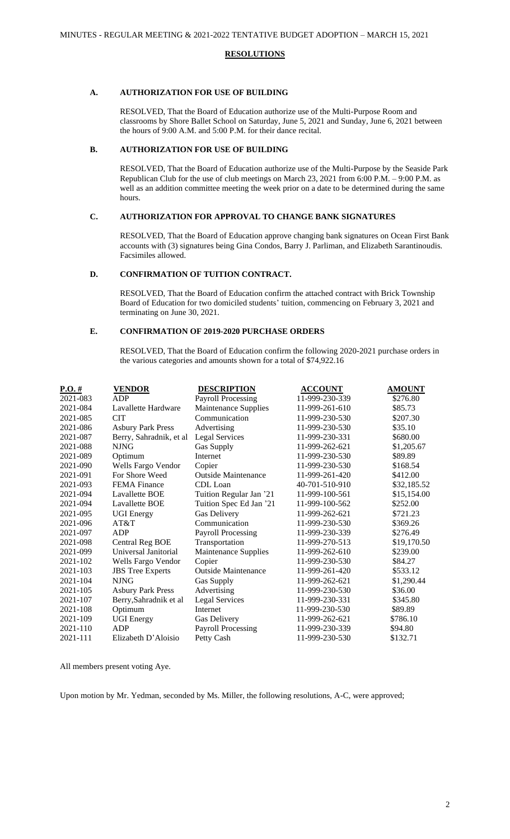### **RESOLUTIONS**

## **A. AUTHORIZATION FOR USE OF BUILDING**

RESOLVED, That the Board of Education authorize use of the Multi-Purpose Room and classrooms by Shore Ballet School on Saturday, June 5, 2021 and Sunday, June 6, 2021 between the hours of 9:00 A.M. and 5:00 P.M. for their dance recital.

## **B. AUTHORIZATION FOR USE OF BUILDING**

RESOLVED, That the Board of Education authorize use of the Multi-Purpose by the Seaside Park Republican Club for the use of club meetings on March 23, 2021 from 6:00 P.M. – 9:00 P.M. as well as an addition committee meeting the week prior on a date to be determined during the same hours.

## **C. AUTHORIZATION FOR APPROVAL TO CHANGE BANK SIGNATURES**

RESOLVED, That the Board of Education approve changing bank signatures on Ocean First Bank accounts with (3) signatures being Gina Condos, Barry J. Parliman, and Elizabeth Sarantinoudis. Facsimiles allowed.

## **D. CONFIRMATION OF TUITION CONTRACT.**

RESOLVED, That the Board of Education confirm the attached contract with Brick Township Board of Education for two domiciled students' tuition, commencing on February 3, 2021 and terminating on June 30, 2021.

# **E. CONFIRMATION OF 2019-2020 PURCHASE ORDERS**

RESOLVED, That the Board of Education confirm the following 2020-2021 purchase orders in the various categories and amounts shown for a total of \$74,922.16

| $P.O.$ #     | <b>VENDOR</b>            | <b>DESCRIPTION</b>         | <b>ACCOUNT</b> | <b>AMOUNT</b> |
|--------------|--------------------------|----------------------------|----------------|---------------|
| 2021-083     | <b>ADP</b>               | <b>Payroll Processing</b>  | 11-999-230-339 | \$276.80      |
| 2021-084     | Lavallette Hardware      | Maintenance Supplies       | 11-999-261-610 | \$85.73       |
| 2021-085     | <b>CIT</b>               | Communication              | 11-999-230-530 | \$207.30      |
| 2021-086     | <b>Asbury Park Press</b> | Advertising                | 11-999-230-530 | \$35.10       |
| 2021-087     | Berry, Sahradnik, et al  | <b>Legal Services</b>      | 11-999-230-331 | \$680.00      |
| 2021-088     | <b>NJNG</b>              | Gas Supply                 | 11-999-262-621 | \$1,205.67    |
| 2021-089     | Optimum                  | Internet                   | 11-999-230-530 | \$89.89       |
| 2021-090     | Wells Fargo Vendor       | Copier                     | 11-999-230-530 | \$168.54      |
| 2021-091     | For Shore Weed           | <b>Outside Maintenance</b> | 11-999-261-420 | \$412.00      |
| 2021-093     | <b>FEMA</b> Finance      | CDL Loan                   | 40-701-510-910 | \$32,185.52   |
| 2021-094     | Lavallette BOE           | Tuition Regular Jan '21    | 11-999-100-561 | \$15,154.00   |
| 2021-094     | Lavallette BOE           | Tuition Spec Ed Jan '21    | 11-999-100-562 | \$252.00      |
| 2021-095     | <b>UGI Energy</b>        | Gas Delivery               | 11-999-262-621 | \$721.23      |
| 2021-096     | AT&T                     | Communication              | 11-999-230-530 | \$369.26      |
| 2021-097     | ADP                      | <b>Payroll Processing</b>  | 11-999-230-339 | \$276.49      |
| 2021-098     | <b>Central Reg BOE</b>   | Transportation             | 11-999-270-513 | \$19,170.50   |
| 2021-099     | Universal Janitorial     | Maintenance Supplies       | 11-999-262-610 | \$239.00      |
| $2021 - 102$ | Wells Fargo Vendor       | Copier                     | 11-999-230-530 | \$84.27       |
| 2021-103     | <b>JBS</b> Tree Experts  | <b>Outside Maintenance</b> | 11-999-261-420 | \$533.12      |
| 2021-104     | <b>NJNG</b>              | Gas Supply                 | 11-999-262-621 | \$1,290.44    |
| 2021-105     | <b>Asbury Park Press</b> | Advertising                | 11-999-230-530 | \$36.00       |
| 2021-107     | Berry, Sahradnik et al   | <b>Legal Services</b>      | 11-999-230-331 | \$345.80      |
| 2021-108     | Optimum                  | Internet                   | 11-999-230-530 | \$89.89       |
| 2021-109     | <b>UGI Energy</b>        | Gas Delivery               | 11-999-262-621 | \$786.10      |
| 2021-110     | ADP                      | <b>Payroll Processing</b>  | 11-999-230-339 | \$94.80       |
| 2021-111     | Elizabeth D'Aloisio      | Petty Cash                 | 11-999-230-530 | \$132.71      |
|              |                          |                            |                |               |

All members present voting Aye.

Upon motion by Mr. Yedman, seconded by Ms. Miller, the following resolutions, A-C, were approved;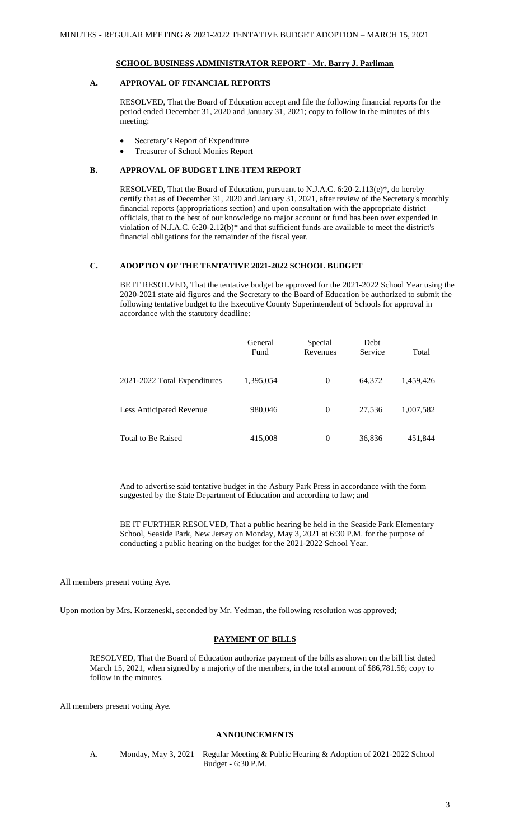## **SCHOOL BUSINESS ADMINISTRATOR REPORT - Mr. Barry J. Parliman**

## **A. APPROVAL OF FINANCIAL REPORTS**

RESOLVED, That the Board of Education accept and file the following financial reports for the period ended December 31, 2020 and January 31, 2021; copy to follow in the minutes of this meeting:

- Secretary's Report of Expenditure
- Treasurer of School Monies Report

### **B. APPROVAL OF BUDGET LINE-ITEM REPORT**

RESOLVED, That the Board of Education, pursuant to N.J.A.C. 6:20-2.113(e)\*, do hereby certify that as of December 31, 2020 and January 31, 2021, after review of the Secretary's monthly financial reports (appropriations section) and upon consultation with the appropriate district officials, that to the best of our knowledge no major account or fund has been over expended in violation of N.J.A.C. 6:20-2.12(b)\* and that sufficient funds are available to meet the district's financial obligations for the remainder of the fiscal year.

## **C. ADOPTION OF THE TENTATIVE 2021-2022 SCHOOL BUDGET**

BE IT RESOLVED, That the tentative budget be approved for the 2021-2022 School Year using the 2020-2021 state aid figures and the Secretary to the Board of Education be authorized to submit the following tentative budget to the Executive County Superintendent of Schools for approval in accordance with the statutory deadline:

|                                 | General<br><b>Fund</b> | Special<br>Revenues | Debt<br>Service | <b>Total</b> |
|---------------------------------|------------------------|---------------------|-----------------|--------------|
| 2021-2022 Total Expenditures    | 1,395,054              | $\overline{0}$      | 64,372          | 1,459,426    |
| <b>Less Anticipated Revenue</b> | 980,046                | $\theta$            | 27,536          | 1,007,582    |
| <b>Total to Be Raised</b>       | 415,008                | $\Omega$            | 36,836          | 451,844      |

And to advertise said tentative budget in the Asbury Park Press in accordance with the form suggested by the State Department of Education and according to law; and

BE IT FURTHER RESOLVED, That a public hearing be held in the Seaside Park Elementary School, Seaside Park, New Jersey on Monday, May 3, 2021 at 6:30 P.M. for the purpose of conducting a public hearing on the budget for the 2021-2022 School Year.

All members present voting Aye.

Upon motion by Mrs. Korzeneski, seconded by Mr. Yedman, the following resolution was approved;

### **PAYMENT OF BILLS**

RESOLVED, That the Board of Education authorize payment of the bills as shown on the bill list dated March 15, 2021, when signed by a majority of the members, in the total amount of \$86,781.56; copy to follow in the minutes.

All members present voting Aye.

### **ANNOUNCEMENTS**

A. Monday, May 3, 2021 – Regular Meeting & Public Hearing & Adoption of 2021-2022 School Budget - 6:30 P.M.